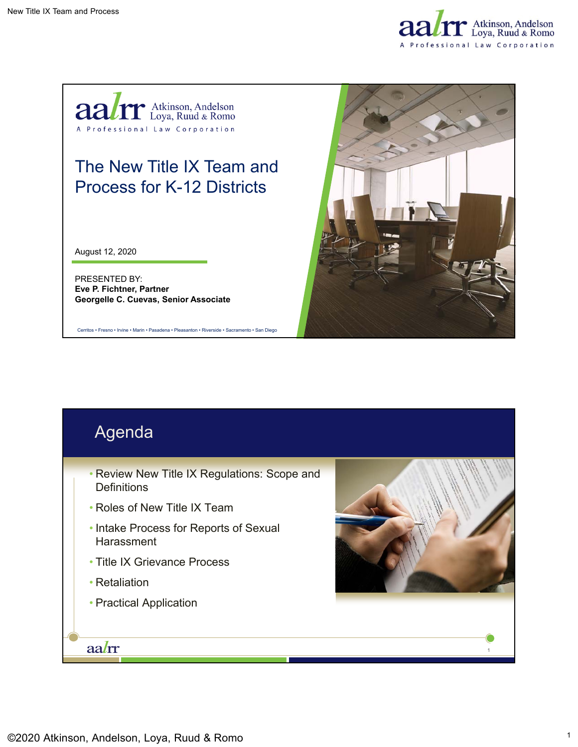



## The New Title IX Team and Process for K-12 Districts

August 12, 2020

PRESENTED BY: **Eve P. Fichtner, Partner Georgelle C. Cuevas, Senior Associate**

Cerritos • Fresno • Irvine • Marin • Pasadena • Pleasanton • Riverside • Sacramento • San Diego



# Agenda

- Review New Title IX Regulations: Scope and **Definitions**
- Roles of New Title IX Team
- Intake Process for Reports of Sexual **Harassment**
- Title IX Grievance Process
- Retaliation
- Practical Application

aalrr



1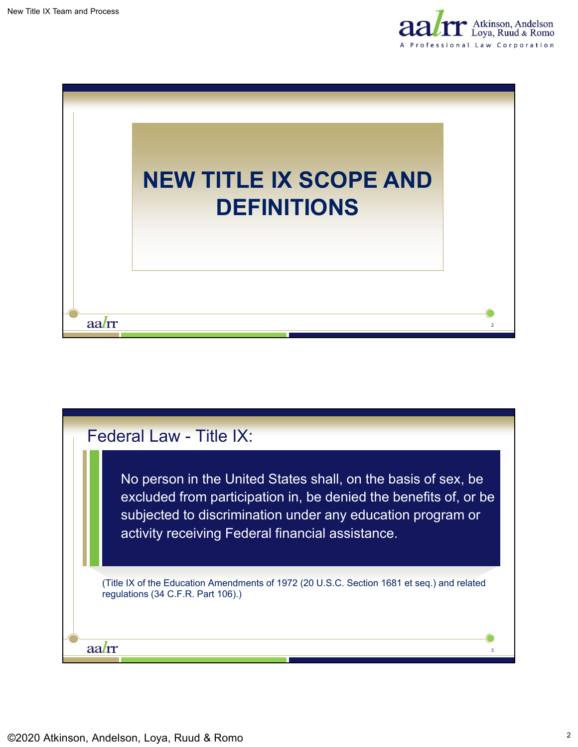



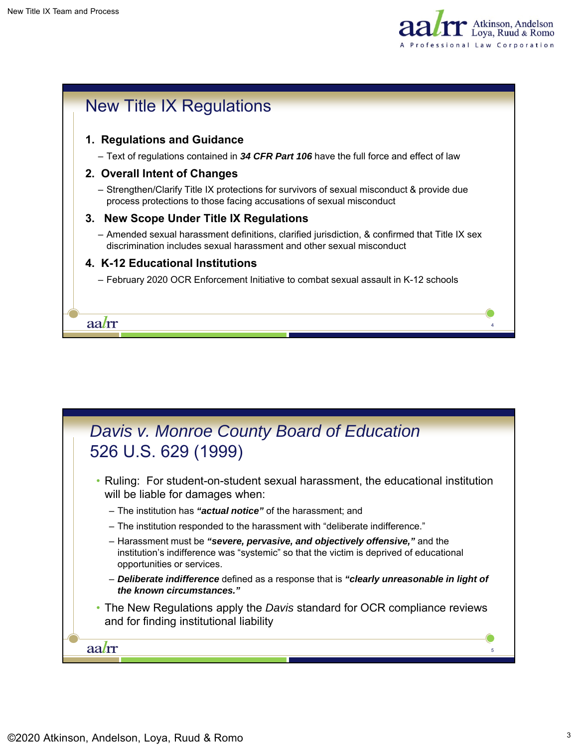



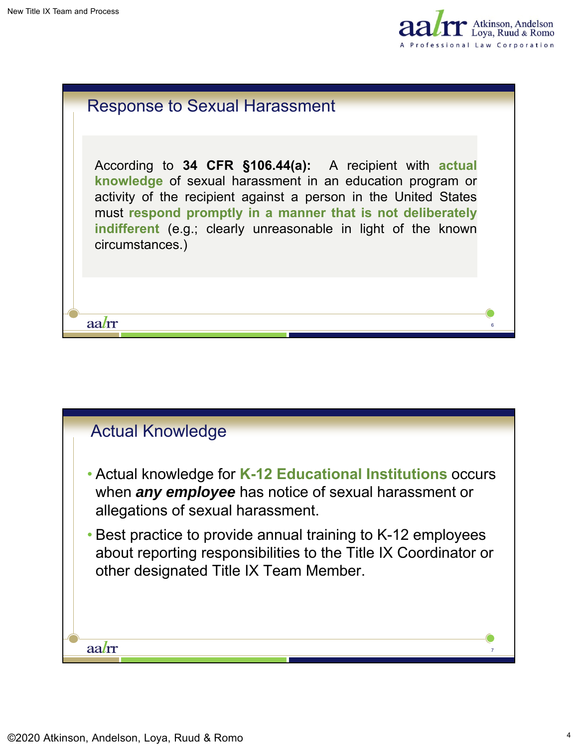aalrr



6

| <b>Response to Sexual Harassment</b> |  |
|--------------------------------------|--|
|--------------------------------------|--|

According to **34 CFR §106.44(a):** A recipient with **actual knowledge** of sexual harassment in an education program or activity of the recipient against a person in the United States must **respond promptly in a manner that is not deliberately indifferent** (e.g.; clearly unreasonable in light of the known circumstances.)

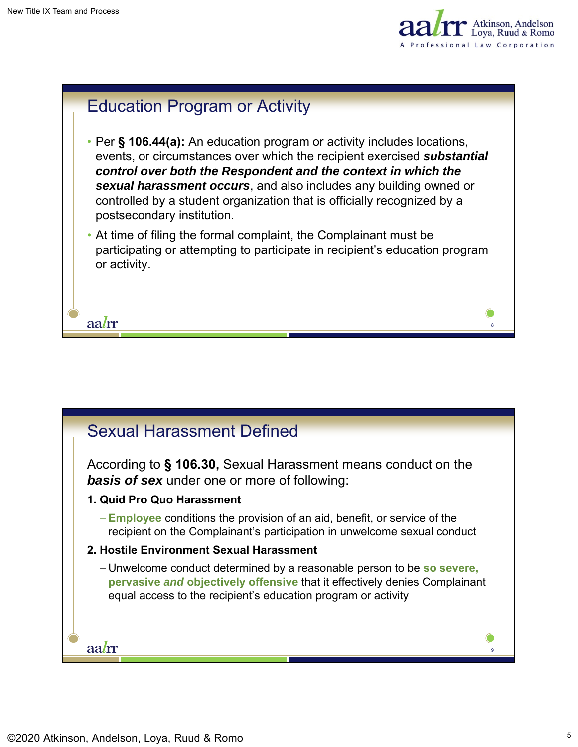



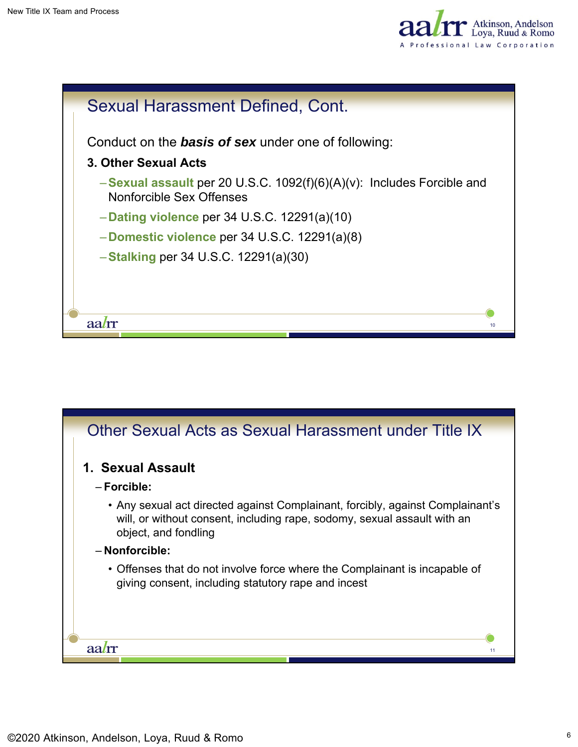



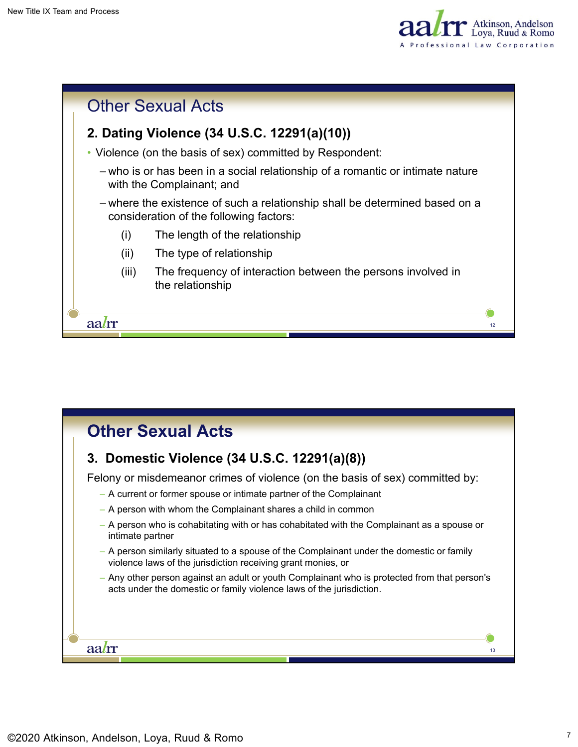



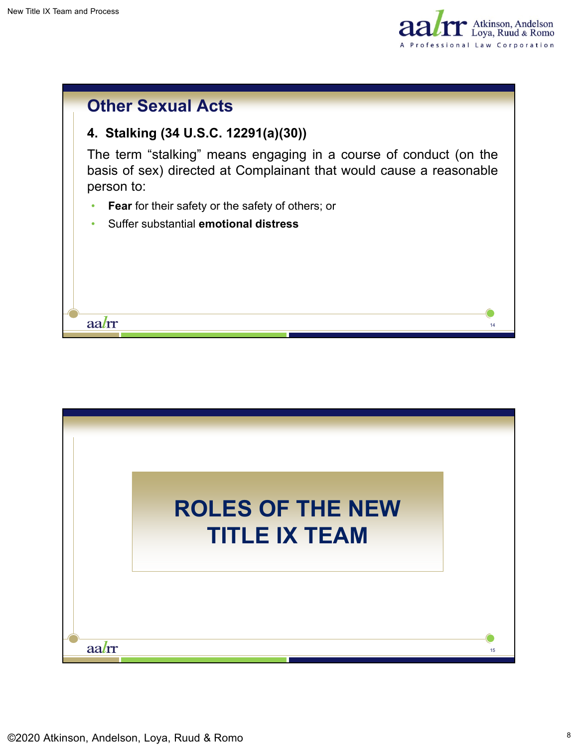



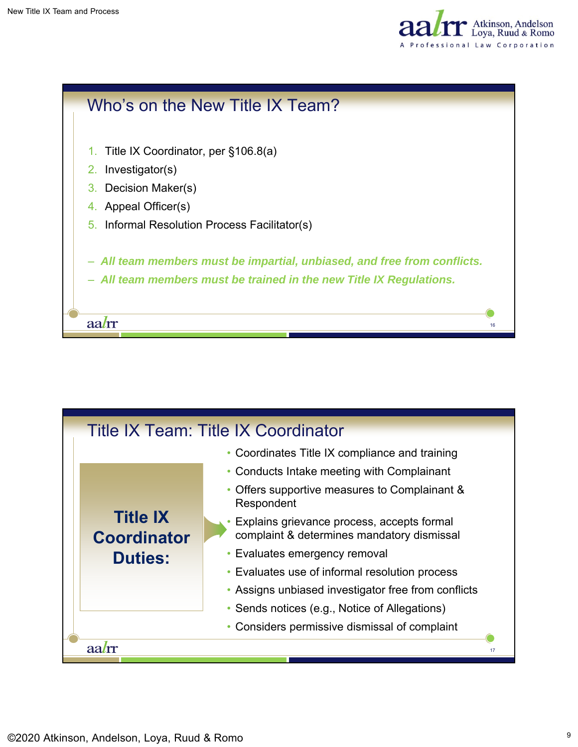



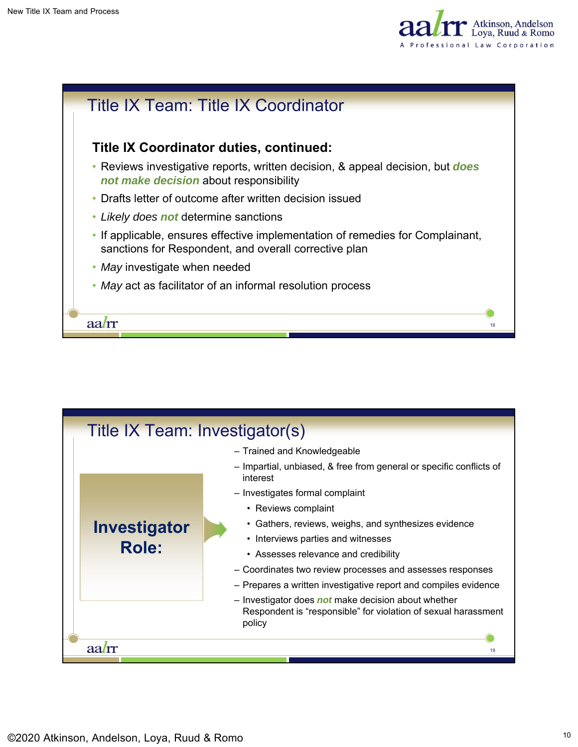



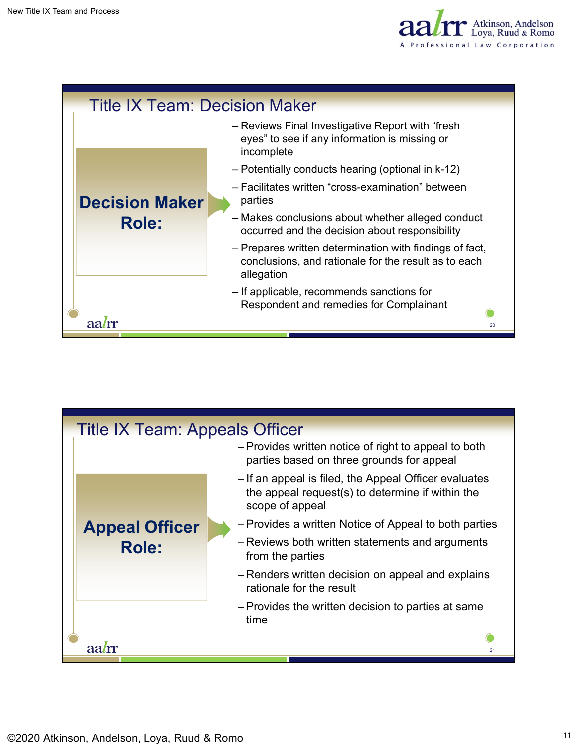

| <b>Title IX Team: Decision Maker</b> |                                                                                                                               |
|--------------------------------------|-------------------------------------------------------------------------------------------------------------------------------|
|                                      | - Reviews Final Investigative Report with "fresh"<br>eyes" to see if any information is missing or<br>incomplete              |
|                                      | - Potentially conducts hearing (optional in k-12)                                                                             |
| <b>Decision Maker</b>                | - Facilitates written "cross-examination" between<br>parties                                                                  |
| Role:                                | - Makes conclusions about whether alleged conduct<br>occurred and the decision about responsibility                           |
|                                      | - Prepares written determination with findings of fact,<br>conclusions, and rationale for the result as to each<br>allegation |
|                                      | - If applicable, recommends sanctions for<br>Respondent and remedies for Complainant                                          |
|                                      | 20                                                                                                                            |
|                                      |                                                                                                                               |

| Title IX Team: Appeals Officer |                                                                                                                              |  |
|--------------------------------|------------------------------------------------------------------------------------------------------------------------------|--|
|                                | - Provides written notice of right to appeal to both<br>parties based on three grounds for appeal                            |  |
|                                | - If an appeal is filed, the Appeal Officer evaluates<br>the appeal request(s) to determine if within the<br>scope of appeal |  |
| <b>Appeal Officer</b>          | - Provides a written Notice of Appeal to both parties                                                                        |  |
| Role:                          | - Reviews both written statements and arguments<br>from the parties                                                          |  |
|                                | - Renders written decision on appeal and explains<br>rationale for the result                                                |  |
|                                | - Provides the written decision to parties at same<br>time                                                                   |  |
|                                |                                                                                                                              |  |
| 21                             |                                                                                                                              |  |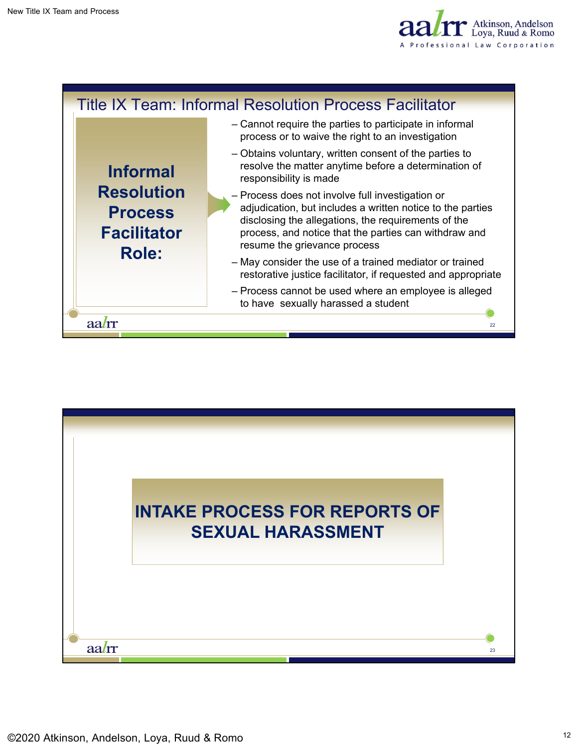



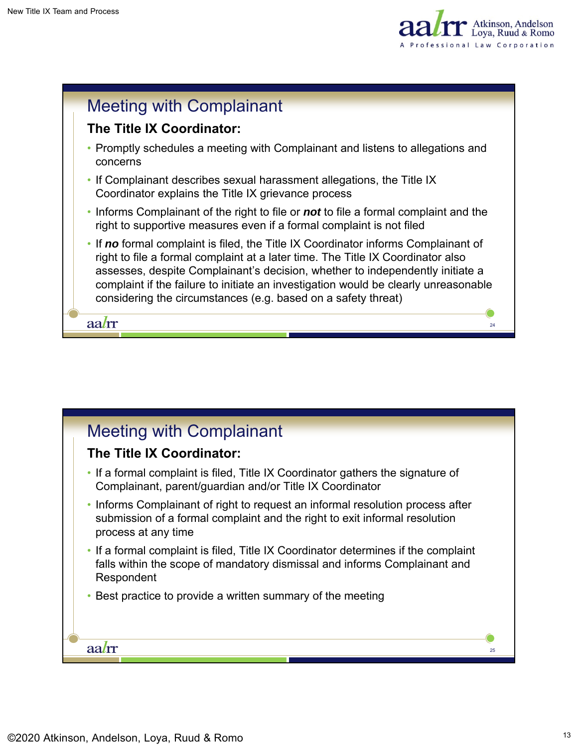



### Meeting with Complainant

#### **The Title IX Coordinator:**

- If a formal complaint is filed, Title IX Coordinator gathers the signature of Complainant, parent/guardian and/or Title IX Coordinator
- Informs Complainant of right to request an informal resolution process after submission of a formal complaint and the right to exit informal resolution process at any time
- If a formal complaint is filed, Title IX Coordinator determines if the complaint falls within the scope of mandatory dismissal and informs Complainant and Respondent
- Best practice to provide a written summary of the meeting

aalrr

25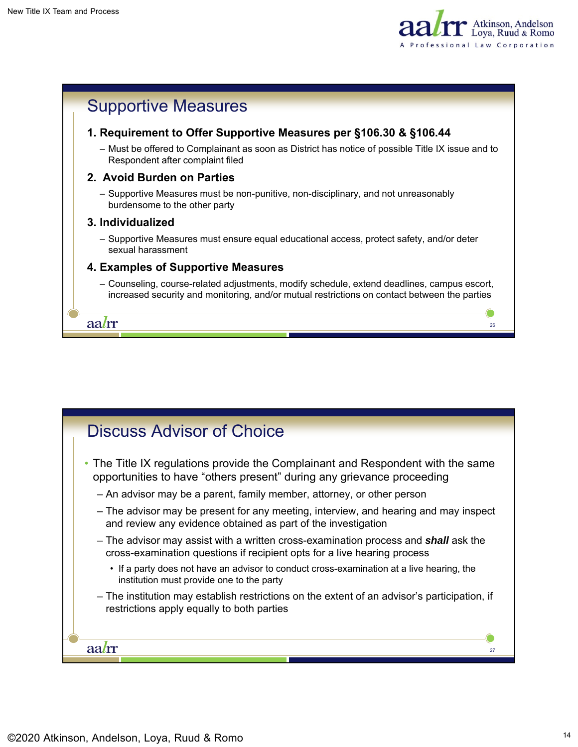



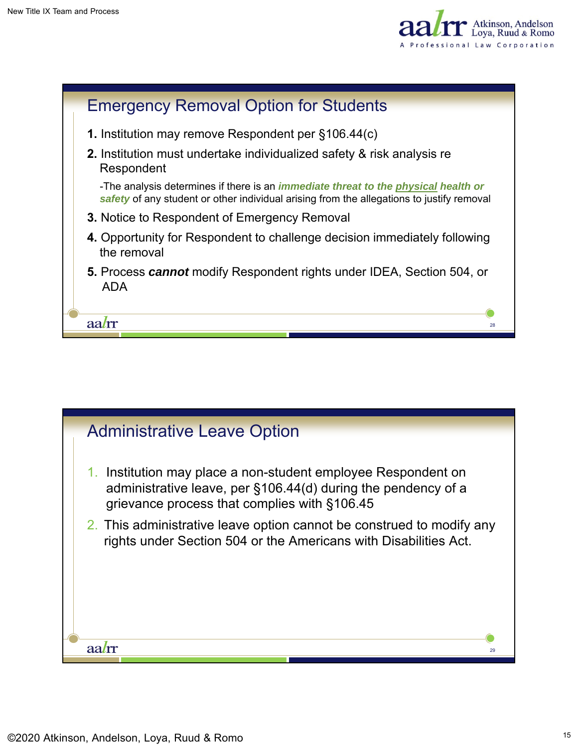



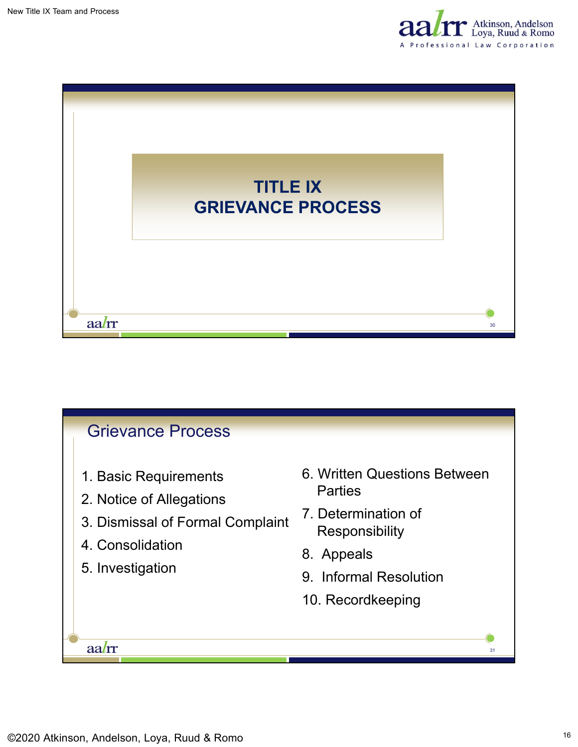



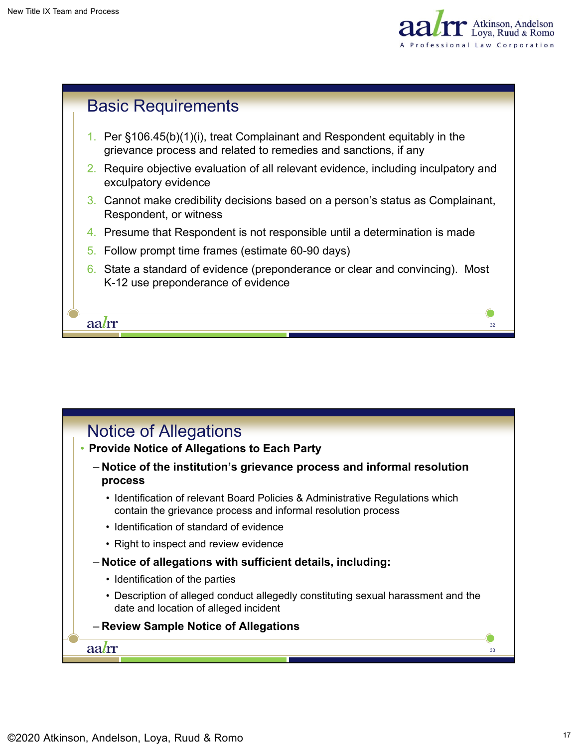



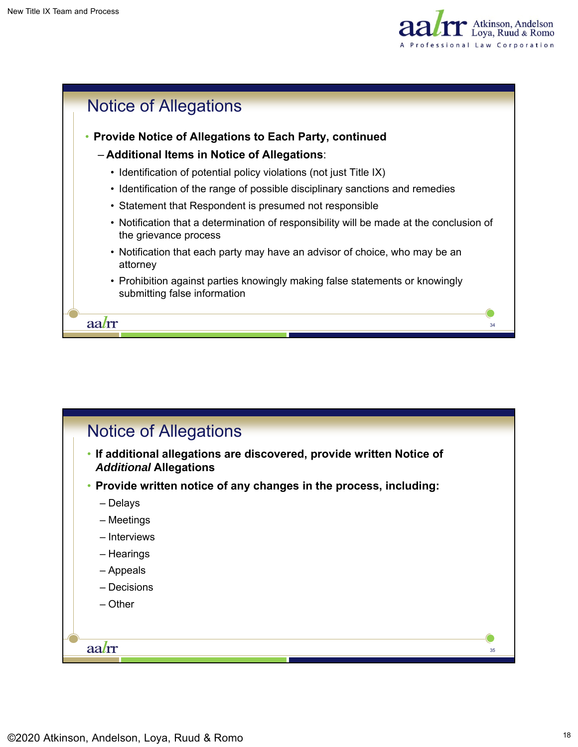



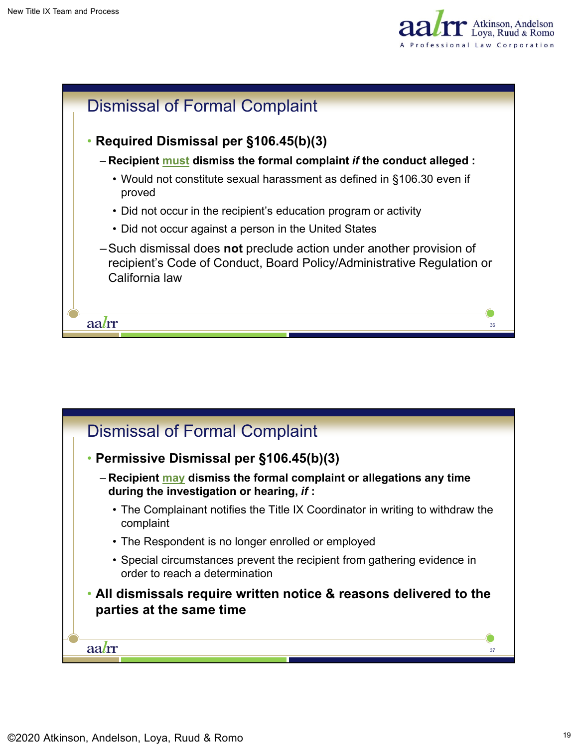



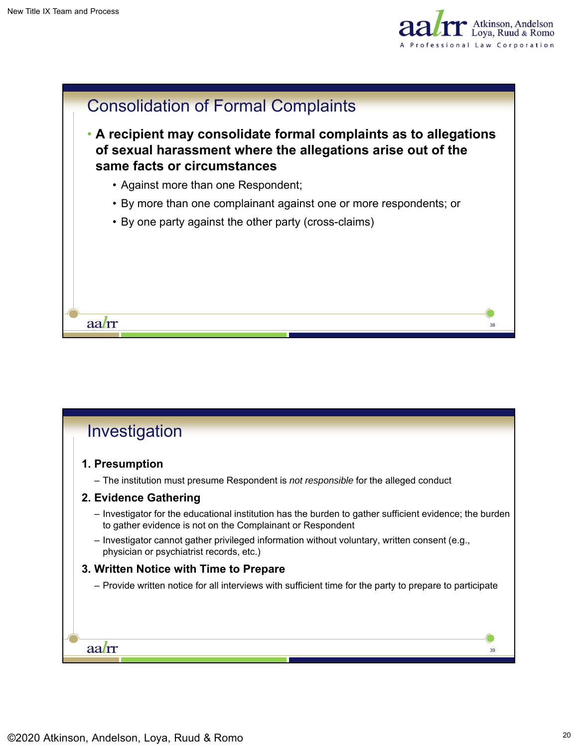



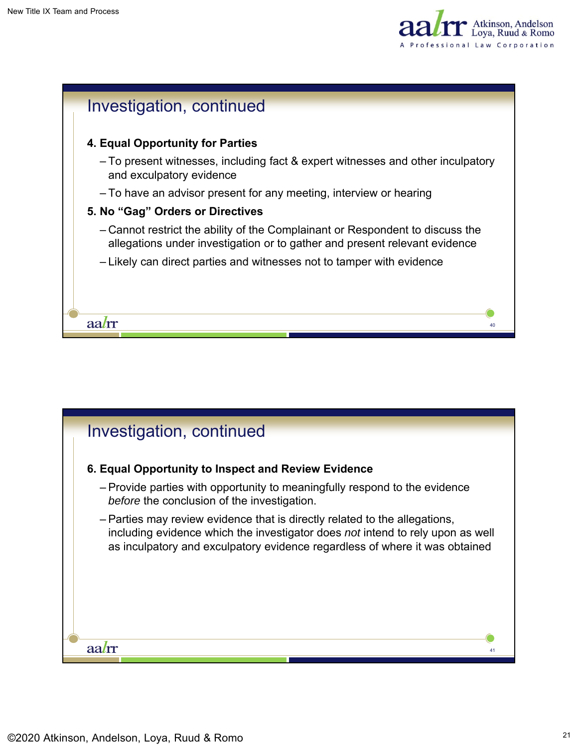



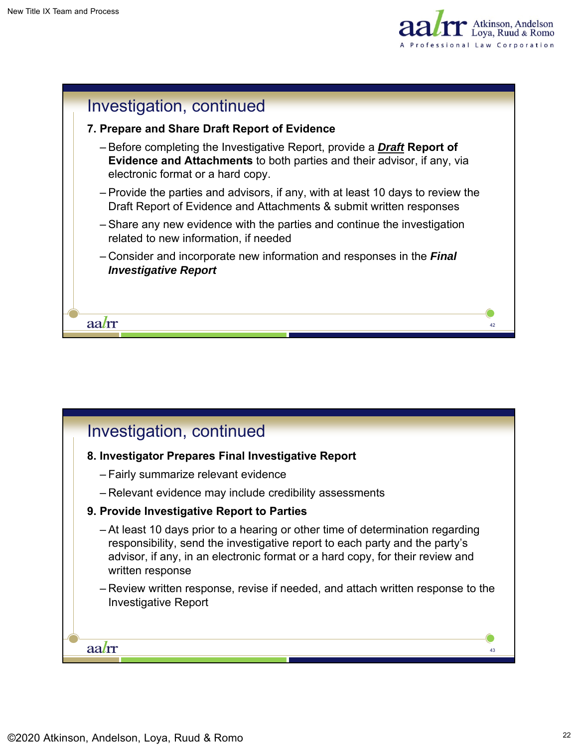



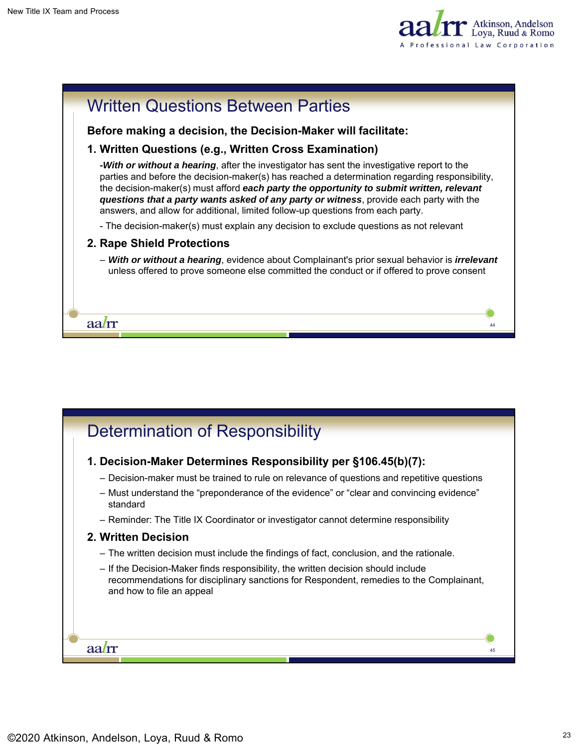



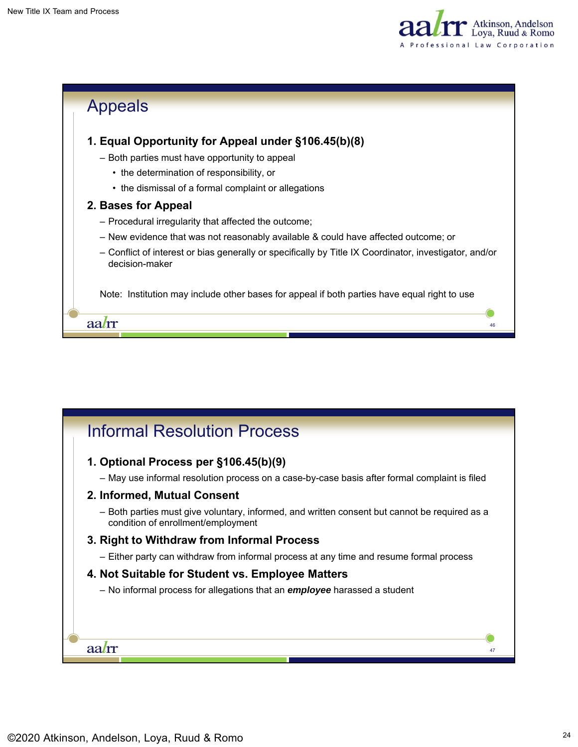



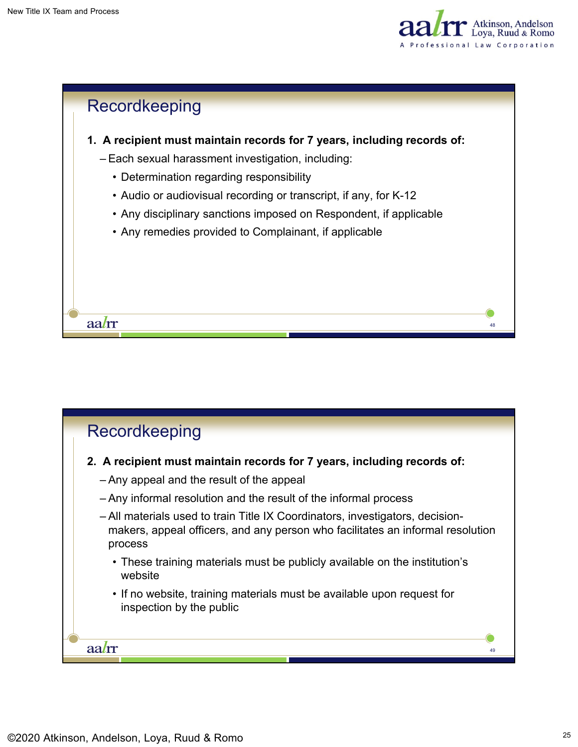



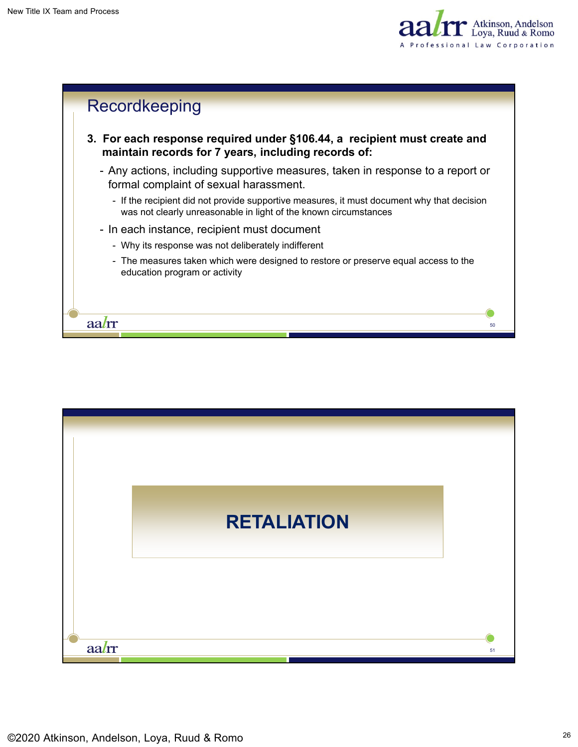



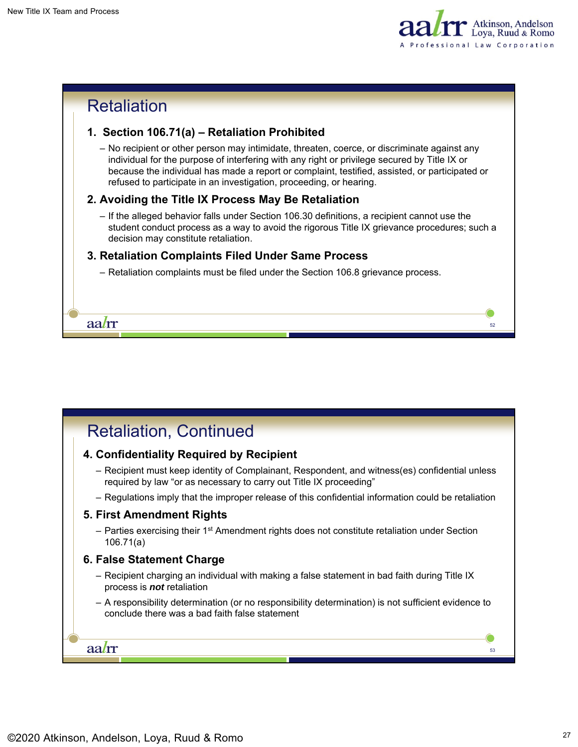



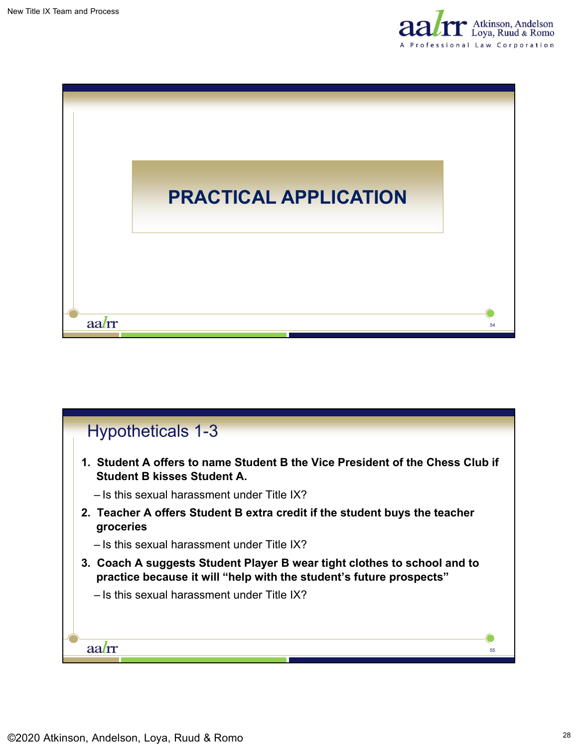



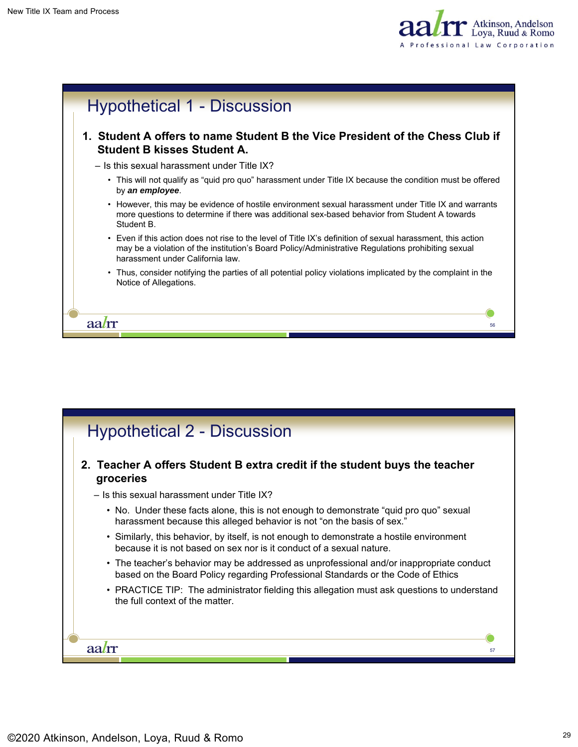



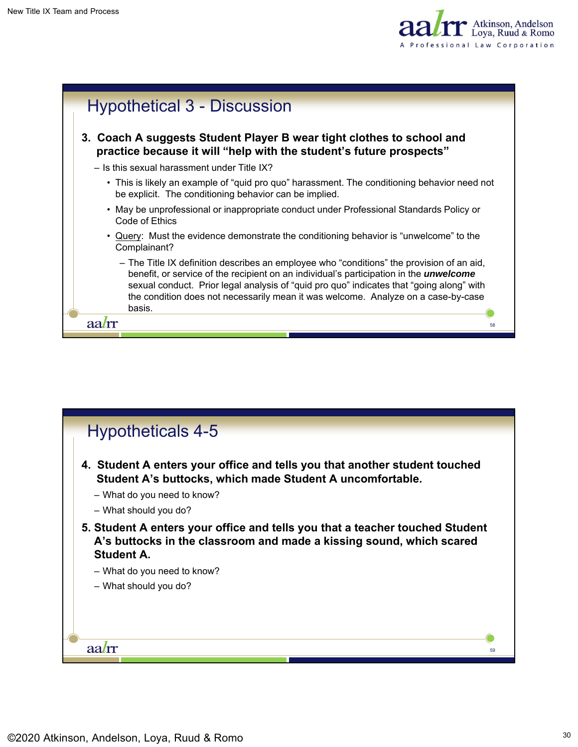



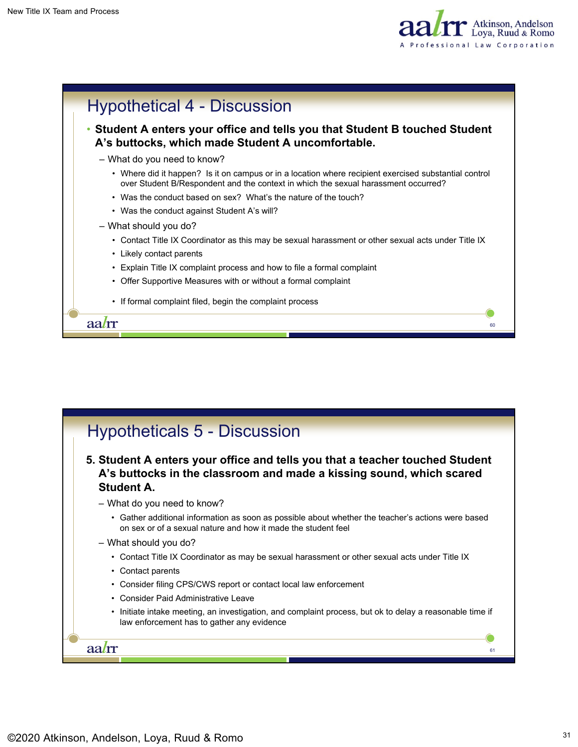